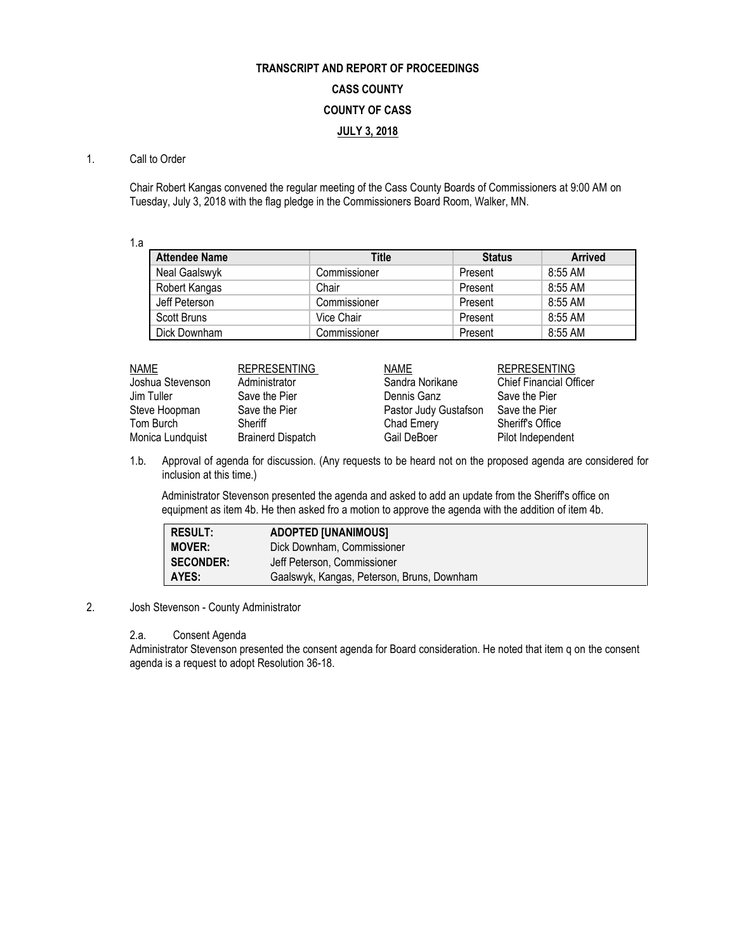# **TRANSCRIPT AND REPORT OF PROCEEDINGS CASS COUNTY COUNTY OF CASS JULY 3, 2018**

#### 1. Call to Order

Chair Robert Kangas convened the regular meeting of the Cass County Boards of Commissioners at 9:00 AM on Tuesday, July 3, 2018 with the flag pledge in the Commissioners Board Room, Walker, MN.

1.a

| <b>Attendee Name</b> | Title        | <b>Status</b> | <b>Arrived</b> |
|----------------------|--------------|---------------|----------------|
| Neal Gaalswyk        | Commissioner | Present       | 8:55 AM        |
| Robert Kangas        | Chair        | Present       | 8:55 AM        |
| Jeff Peterson        | Commissioner | Present       | 8:55 AM        |
| Scott Bruns          | Vice Chair   | Present       | 8:55 AM        |
| Dick Downham         | Commissioner | Present       | 8:55 AM        |

| NAME<br><b>REPRESENTING</b><br><b>NAME</b>                  | <b>REPRESENTING</b>            |
|-------------------------------------------------------------|--------------------------------|
| Joshua Stevenson<br>Sandra Norikane<br>Administrator        | <b>Chief Financial Officer</b> |
| Save the Pier<br>Dennis Ganz<br>Jim Tuller                  | Save the Pier                  |
| Steve Hoopman<br>Pastor Judy Gustafson<br>Save the Pier     | Save the Pier                  |
| Tom Burch<br>Sheriff<br>Chad Emery                          | <b>Sheriff's Office</b>        |
| Monica Lundquist<br><b>Brainerd Dispatch</b><br>Gail DeBoer | Pilot Independent              |

1.b. Approval of agenda for discussion. (Any requests to be heard not on the proposed agenda are considered for inclusion at this time.)

Administrator Stevenson presented the agenda and asked to add an update from the Sheriff's office on equipment as item 4b. He then asked fro a motion to approve the agenda with the addition of item 4b.

| RESULT:          | <b>ADOPTED [UNANIMOUS]</b>                 |
|------------------|--------------------------------------------|
| <b>MOVER:</b>    | Dick Downham, Commissioner                 |
| <b>SECONDER:</b> | Jeff Peterson, Commissioner                |
| I AYES:          | Gaalswyk, Kangas, Peterson, Bruns, Downham |

### 2. Josh Stevenson - County Administrator

#### 2.a. Consent Agenda

Administrator Stevenson presented the consent agenda for Board consideration. He noted that item q on the consent agenda is a request to adopt Resolution 36-18.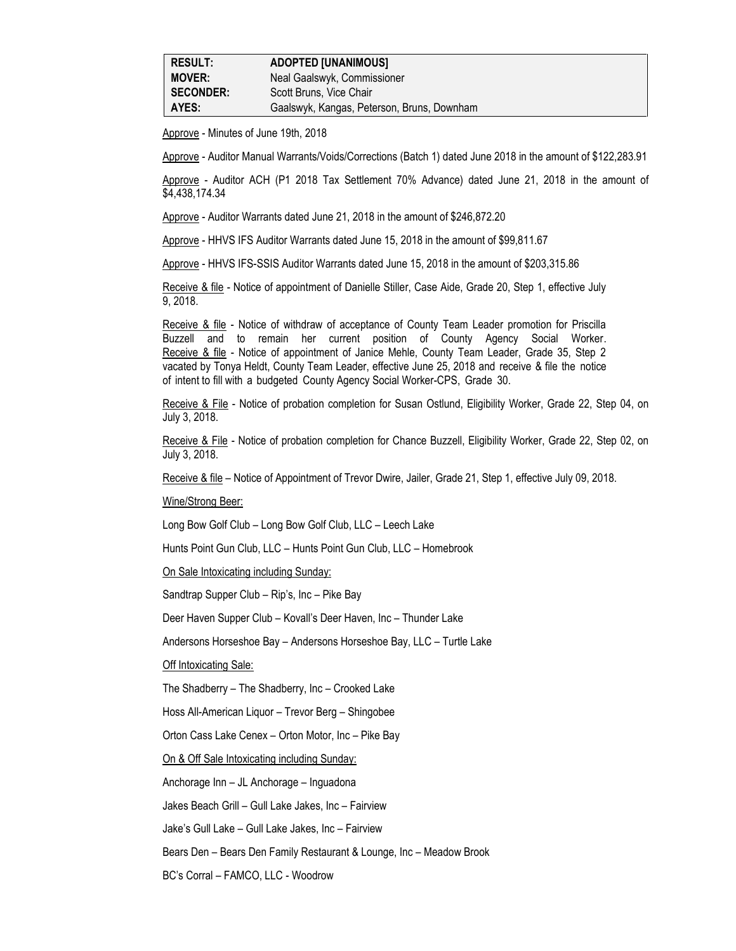| <b>RESULT:</b>   | <b>ADOPTED [UNANIMOUS]</b>                 |
|------------------|--------------------------------------------|
| <b>MOVER:</b>    | Neal Gaalswyk, Commissioner                |
| <b>SECONDER:</b> | Scott Bruns, Vice Chair                    |
| AYES:            | Gaalswyk, Kangas, Peterson, Bruns, Downham |

Approve - Minutes of June 19th, 2018

Approve - Auditor Manual Warrants/Voids/Corrections (Batch 1) dated June 2018 in the amount of \$122,283.91

Approve - Auditor ACH (P1 2018 Tax Settlement 70% Advance) dated June 21, 2018 in the amount of \$4,438,174.34

Approve - Auditor Warrants dated June 21, 2018 in the amount of \$246,872.20

Approve - HHVS IFS Auditor Warrants dated June 15, 2018 in the amount of \$99,811.67

Approve - HHVS IFS-SSIS Auditor Warrants dated June 15, 2018 in the amount of \$203,315.86

Receive & file - Notice of appointment of Danielle Stiller, Case Aide, Grade 20, Step 1, effective July 9, 2018.

Receive & file - Notice of withdraw of acceptance of County Team Leader promotion for Priscilla Buzzell and to remain her current position of County Agency Social Worker. Receive & file - Notice of appointment of Janice Mehle, County Team Leader, Grade 35, Step 2 vacated by Tonya Heldt, County Team Leader, effective June 25, 2018 and receive & file the notice of intent to fill with a budgeted County Agency Social Worker-CPS, Grade 30.

Receive & File - Notice of probation completion for Susan Ostlund, Eligibility Worker, Grade 22, Step 04, on July 3, 2018.

Receive & File - Notice of probation completion for Chance Buzzell, Eligibility Worker, Grade 22, Step 02, on July 3, 2018.

Receive & file – Notice of Appointment of Trevor Dwire, Jailer, Grade 21, Step 1, effective July 09, 2018.

Wine/Strong Beer:

Long Bow Golf Club – Long Bow Golf Club, LLC – Leech Lake

Hunts Point Gun Club, LLC – Hunts Point Gun Club, LLC – Homebrook

On Sale Intoxicating including Sunday:

Sandtrap Supper Club – Rip's, Inc – Pike Bay

Deer Haven Supper Club – Kovall's Deer Haven, Inc – Thunder Lake

Andersons Horseshoe Bay – Andersons Horseshoe Bay, LLC – Turtle Lake

Off Intoxicating Sale:

The Shadberry – The Shadberry, Inc – Crooked Lake

Hoss All-American Liquor – Trevor Berg – Shingobee

Orton Cass Lake Cenex – Orton Motor, Inc – Pike Bay

On & Off Sale Intoxicating including Sunday:

Anchorage Inn – JL Anchorage – Inguadona

Jakes Beach Grill – Gull Lake Jakes, Inc – Fairview

Jake's Gull Lake – Gull Lake Jakes, Inc – Fairview

Bears Den – Bears Den Family Restaurant & Lounge, Inc – Meadow Brook

BC's Corral – FAMCO, LLC - Woodrow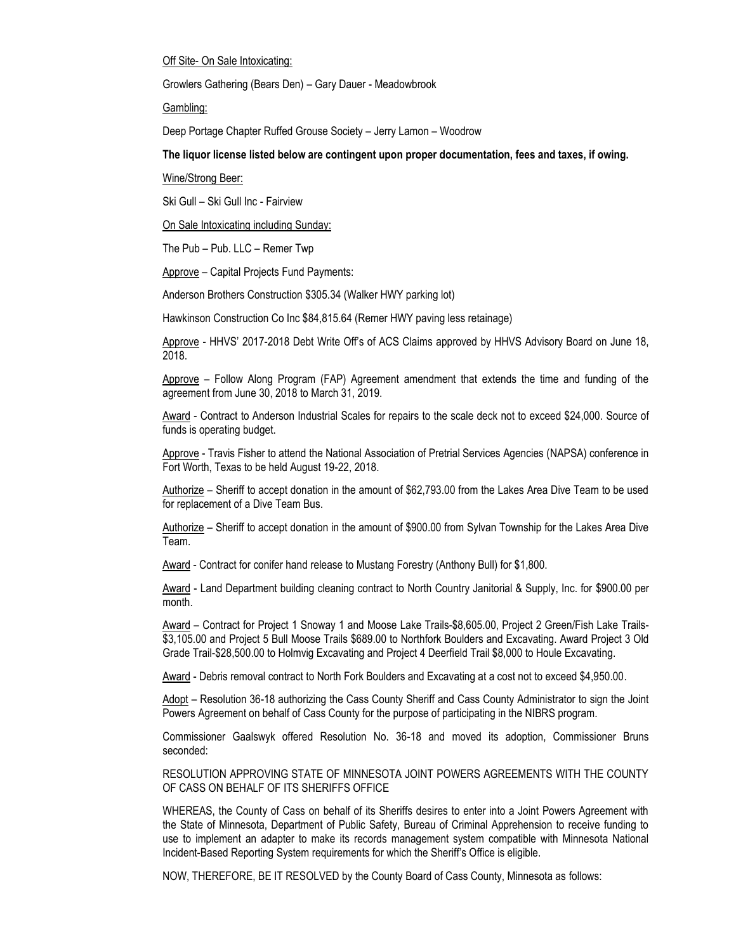Off Site- On Sale Intoxicating:

Growlers Gathering (Bears Den) – Gary Dauer - Meadowbrook

Gambling:

Deep Portage Chapter Ruffed Grouse Society – Jerry Lamon – Woodrow

**The liquor license listed below are contingent upon proper documentation, fees and taxes, if owing.**

Wine/Strong Beer:

Ski Gull – Ski Gull Inc - Fairview

On Sale Intoxicating including Sunday:

The Pub – Pub. LLC – Remer Twp

Approve – Capital Projects Fund Payments:

Anderson Brothers Construction \$305.34 (Walker HWY parking lot)

Hawkinson Construction Co Inc \$84,815.64 (Remer HWY paving less retainage)

Approve - HHVS' 2017-2018 Debt Write Off's of ACS Claims approved by HHVS Advisory Board on June 18, 2018.

Approve – Follow Along Program (FAP) Agreement amendment that extends the time and funding of the agreement from June 30, 2018 to March 31, 2019.

Award - Contract to Anderson Industrial Scales for repairs to the scale deck not to exceed \$24,000. Source of funds is operating budget.

Approve - Travis Fisher to attend the National Association of Pretrial Services Agencies (NAPSA) conference in Fort Worth, Texas to be held August 19-22, 2018.

Authorize – Sheriff to accept donation in the amount of \$62,793.00 from the Lakes Area Dive Team to be used for replacement of a Dive Team Bus.

Authorize – Sheriff to accept donation in the amount of \$900.00 from Sylvan Township for the Lakes Area Dive Team.

Award - Contract for conifer hand release to Mustang Forestry (Anthony Bull) for \$1,800.

Award - Land Department building cleaning contract to North Country Janitorial & Supply, Inc. for \$900.00 per month.

Award – Contract for Project 1 Snoway 1 and Moose Lake Trails-\$8,605.00, Project 2 Green/Fish Lake Trails- \$3,105.00 and Project 5 Bull Moose Trails \$689.00 to Northfork Boulders and Excavating. Award Project 3 Old Grade Trail-\$28,500.00 to Holmvig Excavating and Project 4 Deerfield Trail \$8,000 to Houle Excavating.

Award - Debris removal contract to North Fork Boulders and Excavating at a cost not to exceed \$4,950.00.

Adopt – Resolution 36-18 authorizing the Cass County Sheriff and Cass County Administrator to sign the Joint Powers Agreement on behalf of Cass County for the purpose of participating in the NIBRS program.

Commissioner Gaalswyk offered Resolution No. 36-18 and moved its adoption, Commissioner Bruns seconded:

RESOLUTION APPROVING STATE OF MINNESOTA JOINT POWERS AGREEMENTS WITH THE COUNTY OF CASS ON BEHALF OF ITS SHERIFFS OFFICE

WHEREAS, the County of Cass on behalf of its Sheriffs desires to enter into a Joint Powers Agreement with the State of Minnesota, Department of Public Safety, Bureau of Criminal Apprehension to receive funding to use to implement an adapter to make its records management system compatible with Minnesota National Incident-Based Reporting System requirements for which the Sheriff's Office is eligible.

NOW, THEREFORE, BE IT RESOLVED by the County Board of Cass County, Minnesota as follows: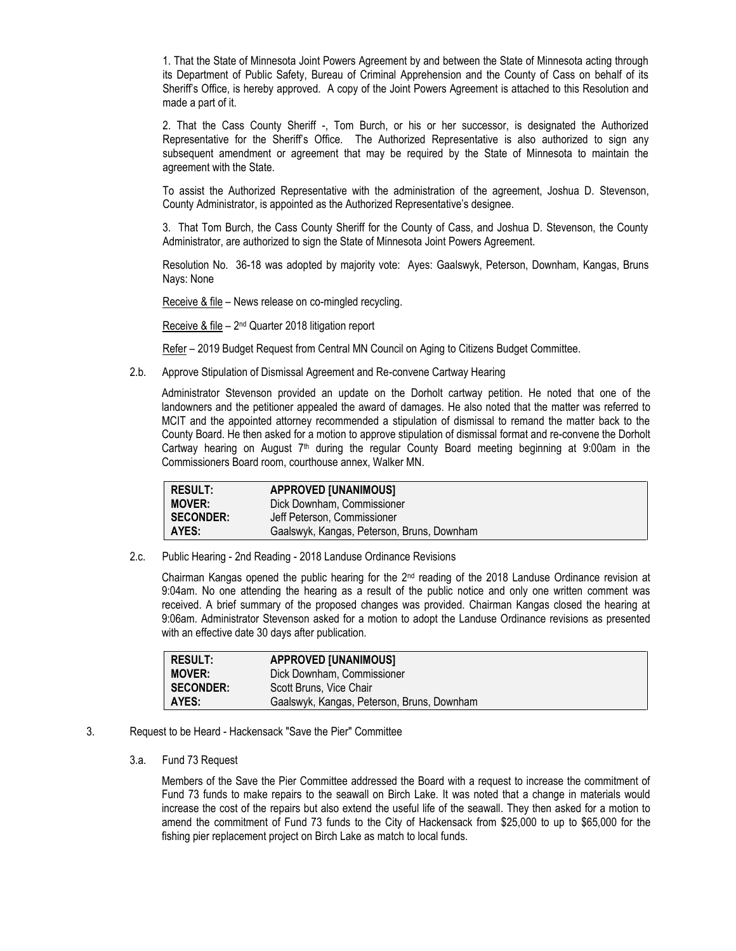1. That the State of Minnesota Joint Powers Agreement by and between the State of Minnesota acting through its Department of Public Safety, Bureau of Criminal Apprehension and the County of Cass on behalf of its Sheriff's Office, is hereby approved. A copy of the Joint Powers Agreement is attached to this Resolution and made a part of it.

2. That the Cass County Sheriff -, Tom Burch, or his or her successor, is designated the Authorized Representative for the Sheriff's Office. The Authorized Representative is also authorized to sign any subsequent amendment or agreement that may be required by the State of Minnesota to maintain the agreement with the State.

To assist the Authorized Representative with the administration of the agreement, Joshua D. Stevenson, County Administrator, is appointed as the Authorized Representative's designee.

3. That Tom Burch, the Cass County Sheriff for the County of Cass, and Joshua D. Stevenson, the County Administrator, are authorized to sign the State of Minnesota Joint Powers Agreement.

Resolution No. 36-18 was adopted by majority vote: Ayes: Gaalswyk, Peterson, Downham, Kangas, Bruns Nays: None

Receive & file – News release on co-mingled recycling.

Receive & file - 2<sup>nd</sup> Quarter 2018 litigation report

Refer - 2019 Budget Request from Central MN Council on Aging to Citizens Budget Committee.

2.b. Approve Stipulation of Dismissal Agreement and Re-convene Cartway Hearing

Administrator Stevenson provided an update on the Dorholt cartway petition. He noted that one of the landowners and the petitioner appealed the award of damages. He also noted that the matter was referred to MCIT and the appointed attorney recommended a stipulation of dismissal to remand the matter back to the County Board. He then asked for a motion to approve stipulation of dismissal format and re-convene the Dorholt Cartway hearing on August  $7<sup>th</sup>$  during the regular County Board meeting beginning at 9:00am in the Commissioners Board room, courthouse annex, Walker MN.

| <b>RESULT:</b>   | <b>APPROVED [UNANIMOUS]</b>                |
|------------------|--------------------------------------------|
| <b>MOVER:</b>    | Dick Downham, Commissioner                 |
| <b>SECONDER:</b> | Jeff Peterson. Commissioner                |
| AYES:            | Gaalswyk, Kangas, Peterson, Bruns, Downham |

2.c. Public Hearing - 2nd Reading - 2018 Landuse Ordinance Revisions

Chairman Kangas opened the public hearing for the 2nd reading of the 2018 Landuse Ordinance revision at 9:04am. No one attending the hearing as a result of the public notice and only one written comment was received. A brief summary of the proposed changes was provided. Chairman Kangas closed the hearing at 9:06am. Administrator Stevenson asked for a motion to adopt the Landuse Ordinance revisions as presented with an effective date 30 days after publication.

| <b>RESULT:</b>   | <b>APPROVED [UNANIMOUS]</b>                |
|------------------|--------------------------------------------|
| <b>MOVER:</b>    | Dick Downham, Commissioner                 |
| <b>SECONDER:</b> | Scott Bruns, Vice Chair                    |
| AYES:            | Gaalswyk, Kangas, Peterson, Bruns, Downham |

- 3. Request to be Heard Hackensack "Save the Pier" Committee
	- 3.a. Fund 73 Request

Members of the Save the Pier Committee addressed the Board with a request to increase the commitment of Fund 73 funds to make repairs to the seawall on Birch Lake. It was noted that a change in materials would increase the cost of the repairs but also extend the useful life of the seawall. They then asked for a motion to amend the commitment of Fund 73 funds to the City of Hackensack from \$25,000 to up to \$65,000 for the fishing pier replacement project on Birch Lake as match to local funds.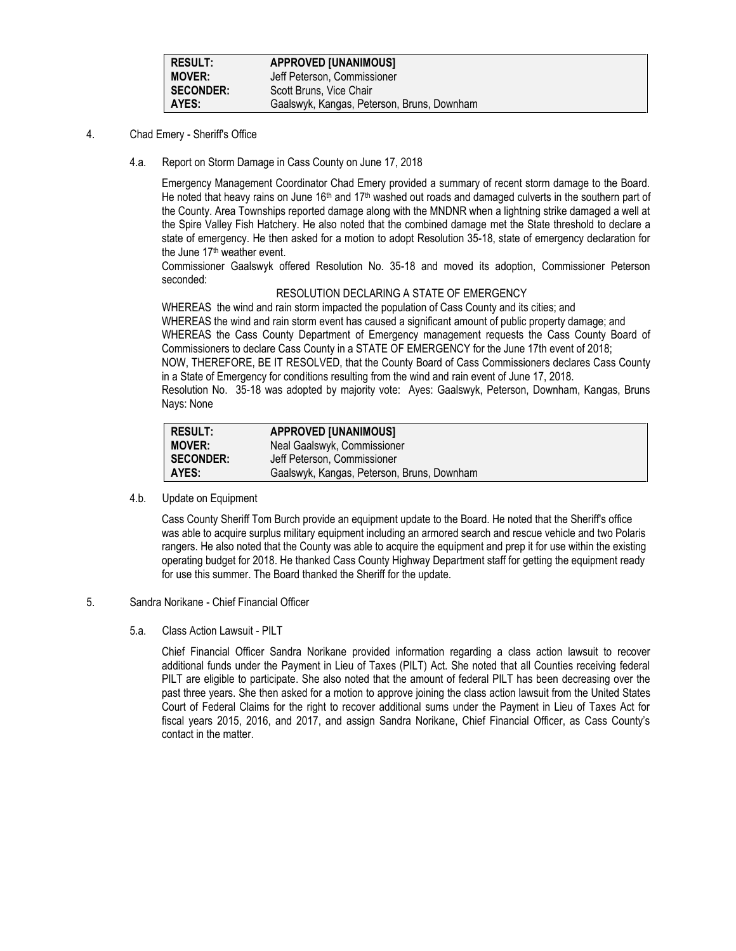| <b>RESULT:</b>   | <b>APPROVED [UNANIMOUS]</b>                |
|------------------|--------------------------------------------|
| <b>MOVER:</b>    | Jeff Peterson, Commissioner                |
| <b>SECONDER:</b> | Scott Bruns, Vice Chair                    |
| AYES:            | Gaalswyk, Kangas, Peterson, Bruns, Downham |

- 4. Chad Emery Sheriff's Office
	- 4.a. Report on Storm Damage in Cass County on June 17, 2018

Emergency Management Coordinator Chad Emery provided a summary of recent storm damage to the Board. He noted that heavy rains on June 16<sup>th</sup> and 17<sup>th</sup> washed out roads and damaged culverts in the southern part of the County. Area Townships reported damage along with the MNDNR when a lightning strike damaged a well at the Spire Valley Fish Hatchery. He also noted that the combined damage met the State threshold to declare a state of emergency. He then asked for a motion to adopt Resolution 35-18, state of emergency declaration for the June 17<sup>th</sup> weather event.

Commissioner Gaalswyk offered Resolution No. 35-18 and moved its adoption, Commissioner Peterson seconded:

## RESOLUTION DECLARING A STATE OF EMERGENCY

WHEREAS the wind and rain storm impacted the population of Cass County and its cities; and WHEREAS the wind and rain storm event has caused a significant amount of public property damage; and WHEREAS the Cass County Department of Emergency management requests the Cass County Board of Commissioners to declare Cass County in a STATE OF EMERGENCY for the June 17th event of 2018; NOW, THEREFORE, BE IT RESOLVED, that the County Board of Cass Commissioners declares Cass County in a State of Emergency for conditions resulting from the wind and rain event of June 17, 2018. Resolution No. 35-18 was adopted by majority vote: Ayes: Gaalswyk, Peterson, Downham, Kangas, Bruns Nays: None

| <b>RESULT:</b>   | <b>APPROVED [UNANIMOUS]</b>                |
|------------------|--------------------------------------------|
| <b>MOVER:</b>    | Neal Gaalswyk, Commissioner                |
| <b>SECONDER:</b> | Jeff Peterson, Commissioner                |
| AYES:            | Gaalswyk, Kangas, Peterson, Bruns, Downham |

4.b. Update on Equipment

Cass County Sheriff Tom Burch provide an equipment update to the Board. He noted that the Sheriff's office was able to acquire surplus military equipment including an armored search and rescue vehicle and two Polaris rangers. He also noted that the County was able to acquire the equipment and prep it for use within the existing operating budget for 2018. He thanked Cass County Highway Department staff for getting the equipment ready for use this summer. The Board thanked the Sheriff for the update.

## 5. Sandra Norikane - Chief Financial Officer

#### 5.a. Class Action Lawsuit - PILT

Chief Financial Officer Sandra Norikane provided information regarding a class action lawsuit to recover additional funds under the Payment in Lieu of Taxes (PILT) Act. She noted that all Counties receiving federal PILT are eligible to participate. She also noted that the amount of federal PILT has been decreasing over the past three years. She then asked for a motion to approve joining the class action lawsuit from the United States Court of Federal Claims for the right to recover additional sums under the Payment in Lieu of Taxes Act for fiscal years 2015, 2016, and 2017, and assign Sandra Norikane, Chief Financial Officer, as Cass County's contact in the matter.